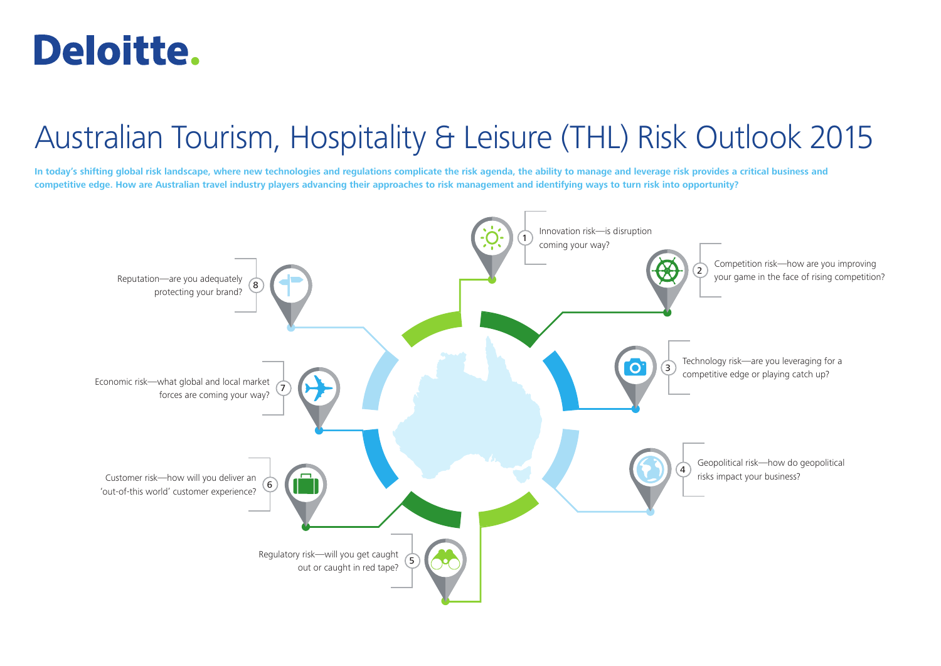## **Deloitte.**

## Australian Tourism, Hospitality & Leisure (THL) Risk Outlook 2015

**In today's shifting global risk landscape, where new technologies and regulations complicate the risk agenda, the ability to manage and leverage risk provides a critical business and competitive edge. How are Australian travel industry players advancing their approaches to risk management and identifying ways to turn risk into opportunity?**

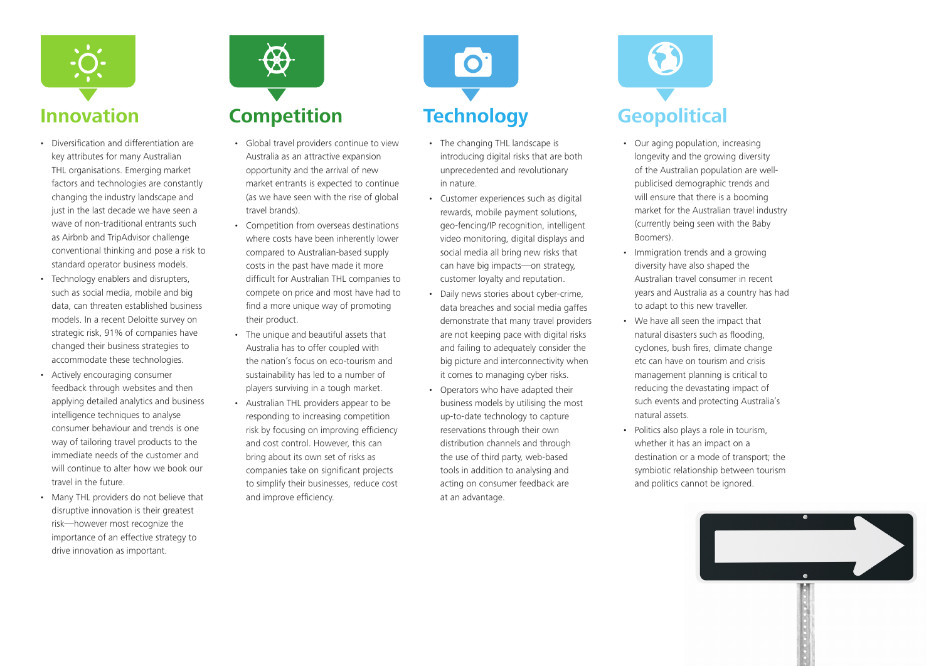

- Diversification and differentiation are key attributes for many Australian THL organisations. Emerging market factors and technologies are constantly changing the industry landscape and just in the last decade we have seen a wave of non-traditional entrants such as Airbnb and TripAdvisor challenge conventional thinking and pose a risk to standard operator business models.
- Technology enablers and disrupters, such as social media, mobile and big data, can threaten established business models. In a recent Deloitte survey on strategic risk, 91% of companies have changed their business strategies to accommodate these technologies.
- Actively encouraging consumer feedback through websites and then applying detailed analytics and business intelligence techniques to analyse consumer behaviour and trends is one way of tailoring travel products to the immediate needs of the customer and will continue to alter how we book our travel in the future.
- Many THL providers do not believe that disruptive innovation is their greatest risk—however most recognize the importance of an effective strategy to drive innovation as important.



- Global travel providers continue to view Australia as an attractive expansion opportunity and the arrival of new market entrants is expected to continue (as we have seen with the rise of global travel brands).
- Competition from overseas destinations where costs have been inherently lower compared to Australian-based supply costs in the past have made it more difficult for Australian THL companies to compete on price and most have had to find a more unique way of promoting their product.
- The unique and beautiful assets that Australia has to offer coupled with the nation's focus on eco-tourism and sustainability has led to a number of players surviving in a tough market.
- Australian THL providers appear to be responding to increasing competition risk by focusing on improving efficiency and cost control. However, this can bring about its own set of risks as companies take on significant projects to simplify their businesses, reduce cost and improve efficiency.



- The changing THL landscape is introducing digital risks that are both unprecedented and revolutionary in nature.
- Customer experiences such as digital rewards, mobile payment solutions, geo-fencing/IP recognition, intelligent video monitoring, digital displays and social media all bring new risks that can have big impacts—on strategy, customer loyalty and reputation.
- Daily news stories about cyber-crime, data breaches and social media gaffes demonstrate that many travel providers are not keeping pace with digital risks and failing to adequately consider the big picture and interconnectivity when it comes to managing cyber risks.
- Operators who have adapted their business models by utilising the most up-to-date technology to capture reservations through their own distribution channels and through the use of third party, web-based tools in addition to analysing and acting on consumer feedback are at an advantage.



- Our aging population, increasing longevity and the growing diversity of the Australian population are wellpublicised demographic trends and will ensure that there is a booming market for the Australian travel industry (currently being seen with the Baby Boomers).
- Immigration trends and a growing diversity have also shaped the Australian travel consumer in recent years and Australia as a country has had to adapt to this new traveller.
- We have all seen the impact that natural disasters such as flooding, cyclones, bush fires, climate change etc can have on tourism and crisis management planning is critical to reducing the devastating impact of such events and protecting Australia's natural assets.
- Politics also plays a role in tourism, whether it has an impact on a destination or a mode of transport; the symbiotic relationship between tourism and politics cannot be ignored.

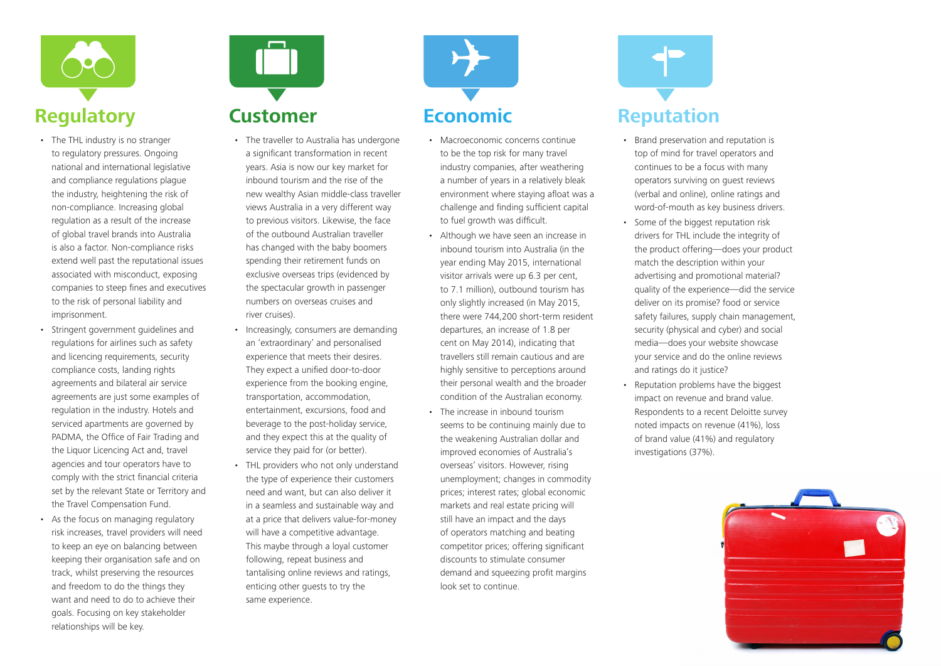

- The THL industry is no stranger to regulatory pressures. Ongoing national and international legislative and compliance regulations plague the industry, heightening the risk of non-compliance. Increasing global regulation as a result of the increase of global travel brands into Australia is also a factor. Non-compliance risks extend well past the reputational issues associated with misconduct, exposing companies to steep fines and executives to the risk of personal liability and imprisonment.
- Stringent government guidelines and regulations for airlines such as safety and licencing requirements, security compliance costs, landing rights agreements and bilateral air service agreements are just some examples of regulation in the industry. Hotels and serviced apartments are governed by PADMA, the Office of Fair Trading and the Liquor Licencing Act and, travel agencies and tour operators have to comply with the strict financial criteria set by the relevant State or Territory and the Travel Compensation Fund.
- As the focus on managing regulatory risk increases, travel providers will need to keep an eye on balancing between keeping their organisation safe and on track, whilst preserving the resources and freedom to do the things they want and need to do to achieve their goals. Focusing on key stakeholder relationships will be key.



- The traveller to Australia has undergone a significant transformation in recent years. Asia is now our key market for inbound tourism and the rise of the new wealthy Asian middle-class traveller views Australia in a very different way to previous visitors. Likewise, the face of the outbound Australian traveller has changed with the baby boomers spending their retirement funds on exclusive overseas trips (evidenced by the spectacular growth in passenger numbers on overseas cruises and river cruises).
- Increasingly, consumers are demanding an 'extraordinary' and personalised experience that meets their desires. They expect a unified door-to-door experience from the booking engine, transportation, accommodation, entertainment, excursions, food and beverage to the post-holiday service, and they expect this at the quality of service they paid for (or better).
- THL providers who not only understand the type of experience their customers need and want, but can also deliver it in a seamless and sustainable way and at a price that delivers value-for-money will have a competitive advantage. This maybe through a loyal customer following, repeat business and tantalising online reviews and ratings, enticing other guests to try the same experience.



- Macroeconomic concerns continue to be the top risk for many travel industry companies, after weathering a number of years in a relatively bleak environment where staying afloat was a challenge and finding sufficient capital to fuel growth was difficult.
- Although we have seen an increase in inbound tourism into Australia (in the year ending May 2015, international visitor arrivals were up 6.3 per cent, to 7.1 million), outbound tourism has only slightly increased (in May 2015, there were 744,200 short-term resident departures, an increase of 1.8 per cent on May 2014), indicating that travellers still remain cautious and are highly sensitive to perceptions around their personal wealth and the broader condition of the Australian economy.
- The increase in inbound tourism seems to be continuing mainly due to the weakening Australian dollar and improved economies of Australia's overseas' visitors. However, rising unemployment; changes in commodity prices; interest rates; global economic markets and real estate pricing will still have an impact and the days of operators matching and beating competitor prices; offering significant discounts to stimulate consumer demand and squeezing profit margins look set to continue.



- Brand preservation and reputation is top of mind for travel operators and continues to be a focus with many operators surviving on guest reviews (verbal and online), online ratings and word-of-mouth as key business drivers.
- Some of the biggest reputation risk drivers for THL include the integrity of the product offering—does your product match the description within your advertising and promotional material? quality of the experience—did the service deliver on its promise? food or service safety failures, supply chain management, security (physical and cyber) and social media—does your website showcase your service and do the online reviews and ratings do it justice?
- Reputation problems have the biggest impact on revenue and brand value. Respondents to a recent Deloitte survey noted impacts on revenue (41%), loss of brand value (41%) and regulatory investigations (37%).